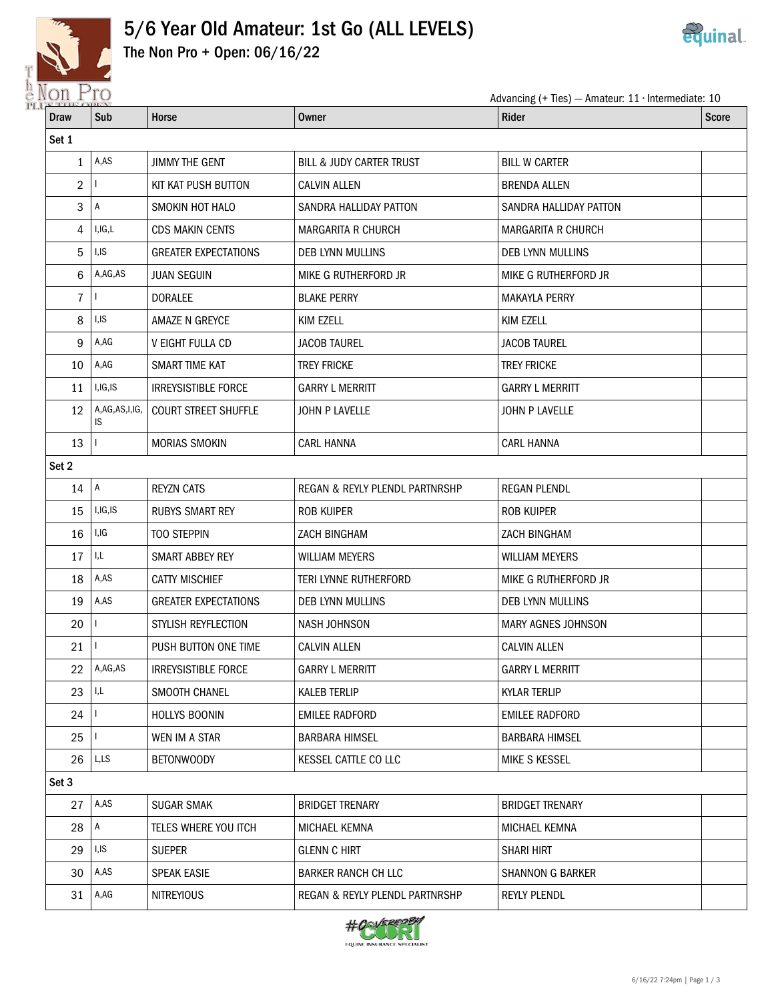

## 5/6 Year Old Amateur: 1st Go (ALL LEVELS)



The Non Pro + Open: 06/16/22

| NOIL LIO       | Advancing (+ Ties) - Amateur: $11 \cdot$ Intermediate: 10 |                             |                                |                           |              |  |  |
|----------------|-----------------------------------------------------------|-----------------------------|--------------------------------|---------------------------|--------------|--|--|
| <b>Draw</b>    | Sub                                                       | Horse                       | <b>Owner</b>                   | <b>Rider</b>              | <b>Score</b> |  |  |
| Set 1          |                                                           |                             |                                |                           |              |  |  |
| 1              | A,AS                                                      | <b>JIMMY THE GENT</b>       | BILL & JUDY CARTER TRUST       | <b>BILL W CARTER</b>      |              |  |  |
| $\overline{2}$ |                                                           | KIT KAT PUSH BUTTON         | <b>CALVIN ALLEN</b>            | <b>BRENDA ALLEN</b>       |              |  |  |
| 3              | $\overline{A}$                                            | SMOKIN HOT HALO             | SANDRA HALLIDAY PATTON         | SANDRA HALLIDAY PATTON    |              |  |  |
| 4              | I, I, G, L                                                | <b>CDS MAKIN CENTS</b>      | <b>MARGARITA R CHURCH</b>      | <b>MARGARITA R CHURCH</b> |              |  |  |
| 5              | I,IS                                                      | <b>GREATER EXPECTATIONS</b> | DEB LYNN MULLINS               | DEB LYNN MULLINS          |              |  |  |
| 6              | A,AG,AS                                                   | <b>JUAN SEGUIN</b>          | MIKE G RUTHERFORD JR           | MIKE G RUTHERFORD JR      |              |  |  |
| $\overline{7}$ |                                                           | <b>DORALEE</b>              | <b>BLAKE PERRY</b>             | <b>MAKAYLA PERRY</b>      |              |  |  |
| 8              | I, IS                                                     | AMAZE N GREYCE              | <b>KIM EZELL</b>               | <b>KIM EZELL</b>          |              |  |  |
| 9              | A,AG                                                      | V EIGHT FULLA CD            | <b>JACOB TAUREL</b>            | <b>JACOB TAUREL</b>       |              |  |  |
| 10             | A,AG                                                      | SMART TIME KAT              | <b>TREY FRICKE</b>             | <b>TREY FRICKE</b>        |              |  |  |
| 11             | I, IG, IS                                                 | <b>IRREYSISTIBLE FORCE</b>  | <b>GARRY L MERRITT</b>         | <b>GARRY L MERRITT</b>    |              |  |  |
| 12             | A,AG,AS,I,IG,<br>IS                                       | <b>COURT STREET SHUFFLE</b> | JOHN P LAVELLE                 | JOHN P LAVELLE            |              |  |  |
| 13             |                                                           | MORIAS SMOKIN               | <b>CARL HANNA</b>              | <b>CARL HANNA</b>         |              |  |  |
| Set 2          |                                                           |                             |                                |                           |              |  |  |
| 14             | $\overline{A}$                                            | <b>REYZN CATS</b>           | REGAN & REYLY PLENDL PARTNRSHP | <b>REGAN PLENDL</b>       |              |  |  |
| 15             | I, I, G, IS                                               | <b>RUBYS SMART REY</b>      | ROB KUIPER                     | <b>ROB KUIPER</b>         |              |  |  |
| 16             | I, IG                                                     | <b>TOO STEPPIN</b>          | ZACH BINGHAM                   | ZACH BINGHAM              |              |  |  |
| 17             | I,L                                                       | SMART ABBEY REY             | <b>WILLIAM MEYERS</b>          | <b>WILLIAM MEYERS</b>     |              |  |  |
| 18             | A,AS                                                      | <b>CATTY MISCHIEF</b>       | TERI LYNNE RUTHERFORD          | MIKE G RUTHERFORD JR      |              |  |  |
| 19             | A,AS                                                      | <b>GREATER EXPECTATIONS</b> | <b>DEB LYNN MULLINS</b>        | DEB LYNN MULLINS          |              |  |  |
| 20             |                                                           | STYLISH REYFLECTION         | <b>NASH JOHNSON</b>            | <b>MARY AGNES JOHNSON</b> |              |  |  |
| 21             |                                                           | PUSH BUTTON ONE TIME        | <b>CALVIN ALLEN</b>            | <b>CALVIN ALLEN</b>       |              |  |  |
| 22             | A,AG,AS                                                   | <b>IRREYSISTIBLE FORCE</b>  | <b>GARRY L MERRITT</b>         | <b>GARRY L MERRITT</b>    |              |  |  |
| 23             | I,L                                                       | SMOOTH CHANEL               | <b>KALEB TERLIP</b>            | <b>KYLAR TERLIP</b>       |              |  |  |
| 24             |                                                           | <b>HOLLYS BOONIN</b>        | <b>EMILEE RADFORD</b>          | <b>EMILEE RADFORD</b>     |              |  |  |
| 25             |                                                           | WEN IM A STAR               | <b>BARBARA HIMSEL</b>          | <b>BARBARA HIMSEL</b>     |              |  |  |
| 26             | L,LS                                                      | BETONWOODY                  | <b>KESSEL CATTLE CO LLC</b>    | MIKE S KESSEL             |              |  |  |
| Set 3          |                                                           |                             |                                |                           |              |  |  |
| 27             | A,AS                                                      | <b>SUGAR SMAK</b>           | <b>BRIDGET TRENARY</b>         | <b>BRIDGET TRENARY</b>    |              |  |  |
| 28             | $\mathsf{A}$                                              | TELES WHERE YOU ITCH        | MICHAEL KEMNA                  | MICHAEL KEMNA             |              |  |  |
| 29             | I,IS                                                      | <b>SUEPER</b>               | <b>GLENN C HIRT</b>            | <b>SHARI HIRT</b>         |              |  |  |
| 30             | A,AS                                                      | <b>SPEAK EASIE</b>          | <b>BARKER RANCH CH LLC</b>     | <b>SHANNON G BARKER</b>   |              |  |  |
| 31             | A,AG                                                      | <b>NITREYIOUS</b>           | REGAN & REYLY PLENDL PARTNRSHP | <b>REYLY PLENDL</b>       |              |  |  |

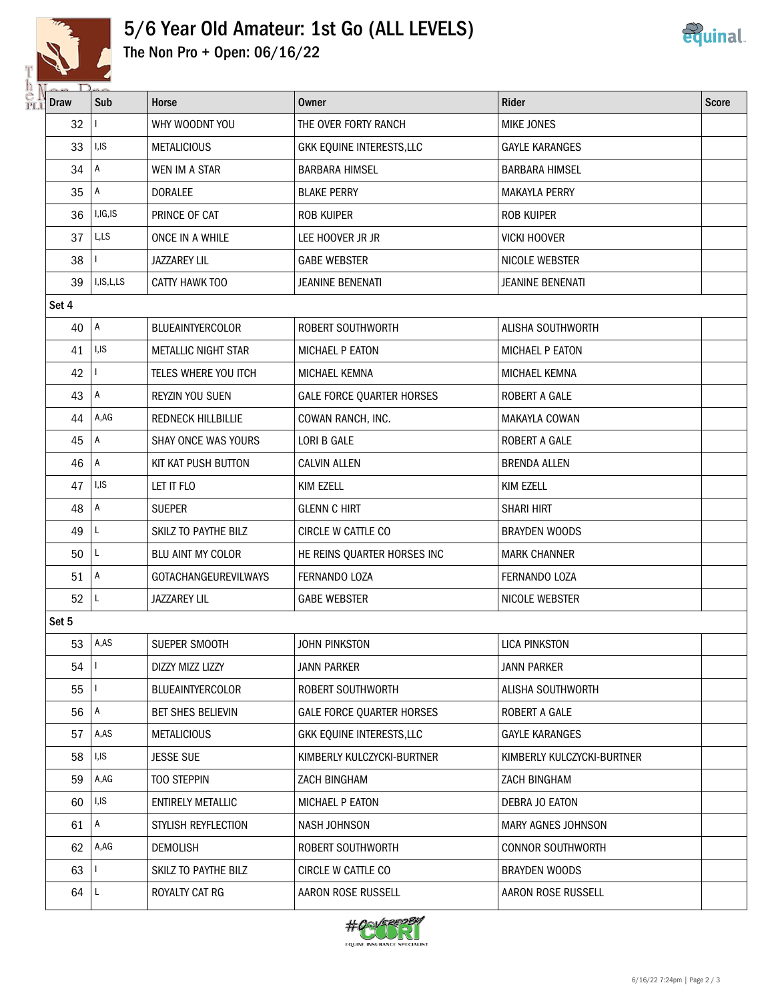

## 5/6 Year Old Amateur: 1st Go (ALL LEVELS) The Non Pro + Open: 06/16/22



| <b>CALLES</b><br>Draw | $\overline{D}_{\infty}$<br>Sub | Horse                       | <b>Owner</b>                     | <b>Rider</b>               | <b>Score</b> |  |
|-----------------------|--------------------------------|-----------------------------|----------------------------------|----------------------------|--------------|--|
| 32                    |                                | WHY WOODNT YOU              | THE OVER FORTY RANCH             | <b>MIKE JONES</b>          |              |  |
| 33                    | I, IS                          | <b>METALICIOUS</b>          | GKK EQUINE INTERESTS, LLC        | <b>GAYLE KARANGES</b>      |              |  |
| 34                    | А                              | WEN IM A STAR               | <b>BARBARA HIMSEL</b>            | <b>BARBARA HIMSEL</b>      |              |  |
| 35                    | Α                              | <b>DORALEE</b>              | <b>BLAKE PERRY</b>               | <b>MAKAYLA PERRY</b>       |              |  |
| 36                    | I, IG, IS                      | PRINCE OF CAT               | <b>ROB KUIPER</b>                | <b>ROB KUIPER</b>          |              |  |
| 37                    | L,LS                           | ONCE IN A WHILE             | LEE HOOVER JR JR                 | <b>VICKI HOOVER</b>        |              |  |
| 38                    |                                | <b>JAZZAREY LIL</b>         | <b>GABE WEBSTER</b>              | NICOLE WEBSTER             |              |  |
| 39                    | I, IS, L, LS                   | CATTY HAWK TOO              | JEANINE BENENATI                 | <b>JEANINE BENENATI</b>    |              |  |
| Set 4                 |                                |                             |                                  |                            |              |  |
| 40                    | $\overline{A}$                 | <b>BLUEAINTYERCOLOR</b>     | ROBERT SOUTHWORTH                | ALISHA SOUTHWORTH          |              |  |
| 41                    | I, IS                          | METALLIC NIGHT STAR         | MICHAEL P EATON                  | MICHAEL P EATON            |              |  |
| 42                    |                                | TELES WHERE YOU ITCH        | MICHAEL KEMNA                    | MICHAEL KEMNA              |              |  |
| 43                    | A                              | REYZIN YOU SUEN             | <b>GALE FORCE QUARTER HORSES</b> | ROBERT A GALE              |              |  |
| 44                    | A,AG                           | <b>REDNECK HILLBILLIE</b>   | COWAN RANCH, INC.                | <b>MAKAYLA COWAN</b>       |              |  |
| 45                    | Α                              | SHAY ONCE WAS YOURS         | LORI B GALE                      | <b>ROBERT A GALE</b>       |              |  |
| 46                    | A                              | KIT KAT PUSH BUTTON         | <b>CALVIN ALLEN</b>              | <b>BRENDA ALLEN</b>        |              |  |
| 47                    | I, IS                          | LET IT FLO                  | KIM EZELL                        | KIM EZELL                  |              |  |
| 48                    | Α                              | <b>SUEPER</b>               | <b>GLENN C HIRT</b>              | <b>SHARI HIRT</b>          |              |  |
| 49                    | L                              | SKILZ TO PAYTHE BILZ        | CIRCLE W CATTLE CO               | <b>BRAYDEN WOODS</b>       |              |  |
| 50                    | $\mathsf{L}$                   | BLU AINT MY COLOR           | HE REINS QUARTER HORSES INC      | <b>MARK CHANNER</b>        |              |  |
| 51                    | A                              | <b>GOTACHANGEUREVILWAYS</b> | FERNANDO LOZA                    | FERNANDO LOZA              |              |  |
| 52                    | L                              | <b>JAZZAREY LIL</b>         | <b>GABE WEBSTER</b>              | NICOLE WEBSTER             |              |  |
| Set 5                 |                                |                             |                                  |                            |              |  |
|                       | 53 $ A,AS$                     | SUEPER SMOOTH               | John Pinkston                    | LICA PINKSTON              |              |  |
| 54                    | $\mathbf{L}$                   | DIZZY MIZZ LIZZY            | <b>JANN PARKER</b>               | <b>JANN PARKER</b>         |              |  |
| 55                    | $\mathbf{L}$                   | <b>BLUEAINTYERCOLOR</b>     | ROBERT SOUTHWORTH                | ALISHA SOUTHWORTH          |              |  |
| 56                    | A                              | <b>BET SHES BELIEVIN</b>    | <b>GALE FORCE QUARTER HORSES</b> | ROBERT A GALE              |              |  |
| 57                    | A,AS                           | <b>METALICIOUS</b>          | GKK EQUINE INTERESTS, LLC        | <b>GAYLE KARANGES</b>      |              |  |
| 58                    | I,IS                           | <b>JESSE SUE</b>            | KIMBERLY KULCZYCKI-BURTNER       | KIMBERLY KULCZYCKI-BURTNER |              |  |
| 59                    | A,AG                           | TOO STEPPIN                 | ZACH BINGHAM                     | ZACH BINGHAM               |              |  |
| 60                    | I,IS                           | <b>ENTIRELY METALLIC</b>    | MICHAEL P EATON                  | DEBRA JO EATON             |              |  |
| 61                    | Α                              | STYLISH REYFLECTION         | NASH JOHNSON                     | MARY AGNES JOHNSON         |              |  |
| 62                    | A,AG                           | <b>DEMOLISH</b>             | ROBERT SOUTHWORTH                | <b>CONNOR SOUTHWORTH</b>   |              |  |
| 63                    |                                | SKILZ TO PAYTHE BILZ        | CIRCLE W CATTLE CO               | <b>BRAYDEN WOODS</b>       |              |  |
| 64                    | ΙL                             | ROYALTY CAT RG              | AARON ROSE RUSSELL               | AARON ROSE RUSSELL         |              |  |